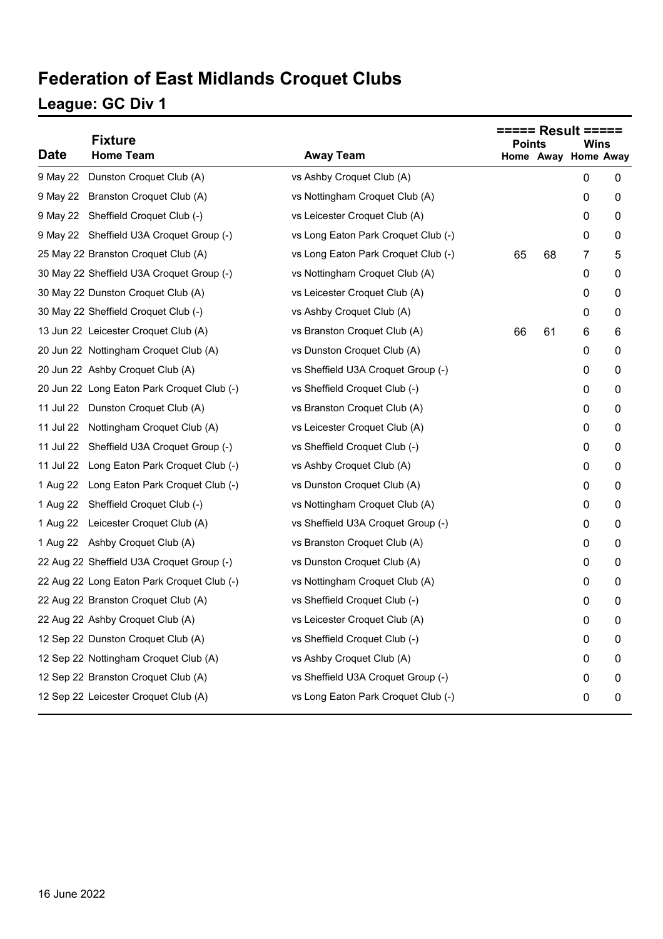# **Federation of East Midlands Croquet Clubs**

#### **League: GC Div 1**

|             | <b>Fixture</b>                             |                                     | <b>Points</b> |    |                             |   |
|-------------|--------------------------------------------|-------------------------------------|---------------|----|-----------------------------|---|
| <b>Date</b> | <b>Home Team</b>                           | <b>Away Team</b>                    |               |    | Wins<br>Home Away Home Away |   |
| 9 May 22    | Dunston Croquet Club (A)                   | vs Ashby Croquet Club (A)           |               |    | 0                           | 0 |
|             | 9 May 22 Branston Croquet Club (A)         | vs Nottingham Croquet Club (A)      |               |    | 0                           | 0 |
|             | 9 May 22 Sheffield Croquet Club (-)        | vs Leicester Croquet Club (A)       |               |    | 0                           | 0 |
|             | 9 May 22 Sheffield U3A Croquet Group (-)   | vs Long Eaton Park Croquet Club (-) |               |    | 0                           | 0 |
|             | 25 May 22 Branston Croquet Club (A)        | vs Long Eaton Park Croquet Club (-) | 65            | 68 | 7                           | 5 |
|             | 30 May 22 Sheffield U3A Croquet Group (-)  | vs Nottingham Croquet Club (A)      |               |    | 0                           | 0 |
|             | 30 May 22 Dunston Croquet Club (A)         | vs Leicester Croquet Club (A)       |               |    | 0                           | 0 |
|             | 30 May 22 Sheffield Croquet Club (-)       | vs Ashby Croquet Club (A)           |               |    | 0                           | 0 |
|             | 13 Jun 22 Leicester Croquet Club (A)       | vs Branston Croquet Club (A)        | 66            | 61 | 6                           | 6 |
|             | 20 Jun 22 Nottingham Croquet Club (A)      | vs Dunston Croquet Club (A)         |               |    | 0                           | 0 |
|             | 20 Jun 22 Ashby Croquet Club (A)           | vs Sheffield U3A Croquet Group (-)  |               |    | 0                           | 0 |
|             | 20 Jun 22 Long Eaton Park Croquet Club (-) | vs Sheffield Croquet Club (-)       |               |    | 0                           | 0 |
|             | 11 Jul 22 Dunston Croquet Club (A)         | vs Branston Croquet Club (A)        |               |    | 0                           | 0 |
|             | 11 Jul 22 Nottingham Croquet Club (A)      | vs Leicester Croquet Club (A)       |               |    | 0                           | 0 |
|             | 11 Jul 22 Sheffield U3A Croquet Group (-)  | vs Sheffield Croquet Club (-)       |               |    | 0                           | 0 |
|             | 11 Jul 22 Long Eaton Park Croquet Club (-) | vs Ashby Croquet Club (A)           |               |    | 0                           | 0 |
| 1 Aug 22    | Long Eaton Park Croquet Club (-)           | vs Dunston Croquet Club (A)         |               |    | 0                           | 0 |
| 1 Aug 22    | Sheffield Croquet Club (-)                 | vs Nottingham Croquet Club (A)      |               |    | 0                           | 0 |
|             | 1 Aug 22 Leicester Croquet Club (A)        | vs Sheffield U3A Croquet Group (-)  |               |    | 0                           | 0 |
|             | 1 Aug 22 Ashby Croquet Club (A)            | vs Branston Croquet Club (A)        |               |    | 0                           | 0 |
|             | 22 Aug 22 Sheffield U3A Croquet Group (-)  | vs Dunston Croquet Club (A)         |               |    | 0                           | 0 |
|             | 22 Aug 22 Long Eaton Park Croquet Club (-) | vs Nottingham Croquet Club (A)      |               |    | 0                           | 0 |
|             | 22 Aug 22 Branston Croquet Club (A)        | vs Sheffield Croquet Club (-)       |               |    | 0                           | 0 |
|             | 22 Aug 22 Ashby Croquet Club (A)           | vs Leicester Croquet Club (A)       |               |    | 0                           | 0 |
|             | 12 Sep 22 Dunston Croquet Club (A)         | vs Sheffield Croquet Club (-)       |               |    | 0                           | 0 |
|             | 12 Sep 22 Nottingham Croquet Club (A)      | vs Ashby Croquet Club (A)           |               |    | 0                           | 0 |
|             | 12 Sep 22 Branston Croquet Club (A)        | vs Sheffield U3A Croquet Group (-)  |               |    | 0                           | 0 |
|             | 12 Sep 22 Leicester Croquet Club (A)       | vs Long Eaton Park Croquet Club (-) |               |    | 0                           | 0 |
|             |                                            |                                     |               |    |                             |   |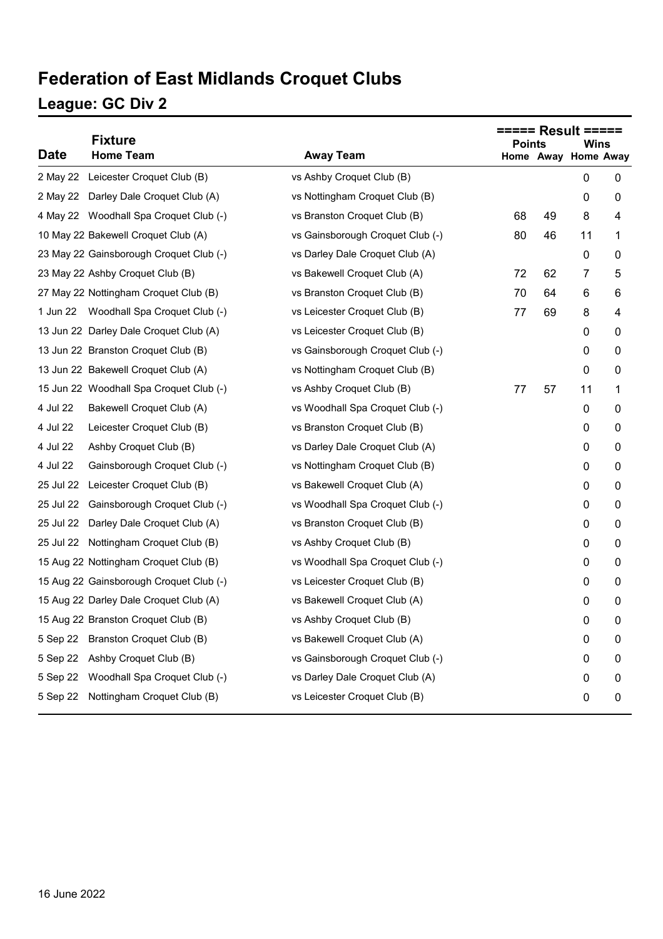## **Federation of East Midlands Croquet Clubs**

#### **League: GC Div 2**

|             | <b>Fixture</b>                          |                                  |               |    |                             |   |  |
|-------------|-----------------------------------------|----------------------------------|---------------|----|-----------------------------|---|--|
| <b>Date</b> | <b>Home Team</b>                        | <b>Away Team</b>                 | <b>Points</b> |    | Wins<br>Home Away Home Away |   |  |
|             | 2 May 22 Leicester Croquet Club (B)     | vs Ashby Croquet Club (B)        |               |    | 0                           | 0 |  |
|             | 2 May 22 Darley Dale Croquet Club (A)   | vs Nottingham Croquet Club (B)   |               |    | 0                           | 0 |  |
|             | 4 May 22 Woodhall Spa Croquet Club (-)  | vs Branston Croquet Club (B)     | 68            | 49 | 8                           | 4 |  |
|             | 10 May 22 Bakewell Croquet Club (A)     | vs Gainsborough Croquet Club (-) | 80            | 46 | 11                          | 1 |  |
|             | 23 May 22 Gainsborough Croquet Club (-) | vs Darley Dale Croquet Club (A)  |               |    | 0                           | 0 |  |
|             | 23 May 22 Ashby Croquet Club (B)        | vs Bakewell Croquet Club (A)     | 72            | 62 | $\overline{7}$              | 5 |  |
|             | 27 May 22 Nottingham Croquet Club (B)   | vs Branston Croquet Club (B)     | 70            | 64 | 6                           | 6 |  |
|             | 1 Jun 22 Woodhall Spa Croquet Club (-)  | vs Leicester Croquet Club (B)    | 77            | 69 | 8                           | 4 |  |
|             | 13 Jun 22 Darley Dale Croquet Club (A)  | vs Leicester Croquet Club (B)    |               |    | 0                           | 0 |  |
|             | 13 Jun 22 Branston Croquet Club (B)     | vs Gainsborough Croquet Club (-) |               |    | 0                           | 0 |  |
|             | 13 Jun 22 Bakewell Croquet Club (A)     | vs Nottingham Croquet Club (B)   |               |    | 0                           | 0 |  |
|             | 15 Jun 22 Woodhall Spa Croquet Club (-) | vs Ashby Croquet Club (B)        | 77            | 57 | 11                          | 1 |  |
| 4 Jul 22    | Bakewell Croquet Club (A)               | vs Woodhall Spa Croquet Club (-) |               |    | 0                           | 0 |  |
| 4 Jul 22    | Leicester Croquet Club (B)              | vs Branston Croquet Club (B)     |               |    | 0                           | 0 |  |
| 4 Jul 22    | Ashby Croquet Club (B)                  | vs Darley Dale Croquet Club (A)  |               |    | 0                           | 0 |  |
| 4 Jul 22    | Gainsborough Croquet Club (-)           | vs Nottingham Croquet Club (B)   |               |    | 0                           | 0 |  |
| 25 Jul 22   | Leicester Croquet Club (B)              | vs Bakewell Croquet Club (A)     |               |    | 0                           | 0 |  |
| 25 Jul 22   | Gainsborough Croquet Club (-)           | vs Woodhall Spa Croquet Club (-) |               |    | 0                           | 0 |  |
| 25 Jul 22   | Darley Dale Croquet Club (A)            | vs Branston Croquet Club (B)     |               |    | 0                           | 0 |  |
|             | 25 Jul 22 Nottingham Croquet Club (B)   | vs Ashby Croquet Club (B)        |               |    | 0                           | 0 |  |
|             | 15 Aug 22 Nottingham Croquet Club (B)   | vs Woodhall Spa Croquet Club (-) |               |    | 0                           | 0 |  |
|             | 15 Aug 22 Gainsborough Croquet Club (-) | vs Leicester Croquet Club (B)    |               |    | 0                           | 0 |  |
|             | 15 Aug 22 Darley Dale Croquet Club (A)  | vs Bakewell Croquet Club (A)     |               |    | 0                           | 0 |  |
|             | 15 Aug 22 Branston Croquet Club (B)     | vs Ashby Croquet Club (B)        |               |    | 0                           | 0 |  |
|             | 5 Sep 22 Branston Croquet Club (B)      | vs Bakewell Croquet Club (A)     |               |    | 0                           | 0 |  |
|             | 5 Sep 22 Ashby Croquet Club (B)         | vs Gainsborough Croquet Club (-) |               |    | 0                           | 0 |  |
|             | 5 Sep 22 Woodhall Spa Croquet Club (-)  | vs Darley Dale Croquet Club (A)  |               |    | 0                           | 0 |  |
|             | 5 Sep 22 Nottingham Croquet Club (B)    | vs Leicester Croquet Club (B)    |               |    | 0                           | 0 |  |
|             |                                         |                                  |               |    |                             |   |  |